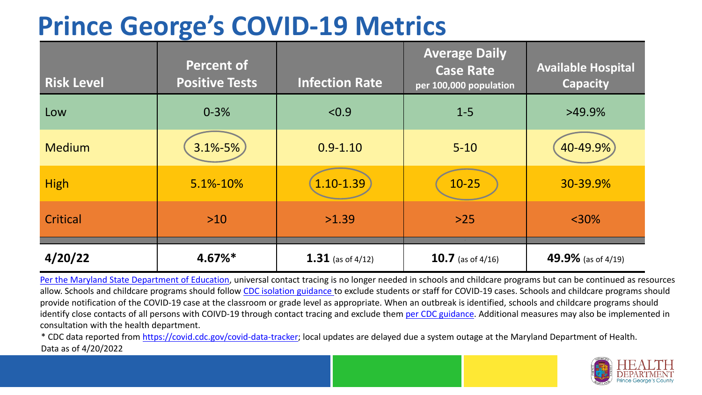## **Prince George's COVID-19 Metrics**

| <b>Risk Level</b> | <b>Percent of</b><br><b>Positive Tests</b> | <b>Infection Rate</b> | <b>Average Daily</b><br><b>Case Rate</b><br>per 100,000 population | <b>Available Hospital</b><br><b>Capacity</b> |
|-------------------|--------------------------------------------|-----------------------|--------------------------------------------------------------------|----------------------------------------------|
| Low               | $0 - 3%$                                   | < 0.9                 | $1 - 5$                                                            | $>49.9\%$                                    |
| <b>Medium</b>     | 3.1%-5%                                    | $0.9 - 1.10$          | $5 - 10$                                                           | 40-49.9%                                     |
| <b>High</b>       | 5.1%-10%                                   | 1.10-1.39             | $10 - 25$                                                          | 30-39.9%                                     |
| Critical          | $>10$                                      | >1.39                 | $>25$                                                              | $<$ 30%                                      |
| 4/20/22           | 4.67%*                                     | 1.31 (as of $4/12$ )  | <b>10.7</b> (as of $4/16$ )                                        | 49.9% (as of 4/19)                           |

[Per the Maryland State Department of Education,](https://earlychildhood.marylandpublicschools.org/system/files/filedepot/3/covid_guidance_full_080420.pdf) universal contact tracing is no longer needed in schools and childcare programs but can be continued as resources allow. Schools and childcare programs should follow [CDC isolation guidance t](https://www.cdc.gov/coronavirus/2019-ncov/community/schools-childcare/k-12-contact-tracing/about-isolation.html)o exclude students or staff for COVID-19 cases. Schools and childcare programs should provide notification of the COVID-19 case at the classroom or grade level as appropriate. When an outbreak is identified, schools and childcare programs should identify close contacts of all persons with COIVD-19 through contact tracing and exclude them [per CDC guidance](https://www.cdc.gov/coronavirus/2019-ncov/your-health/quarantine-isolation.html). Additional measures may also be implemented in consultation with the health department.

\* CDC data reported from [https://covid.cdc.gov/covid-data-tracker;](https://covid.cdc.gov/covid-data-tracker) local updates are delayed due a system outage at the Maryland Department of Health. Data as of 4/20/2022

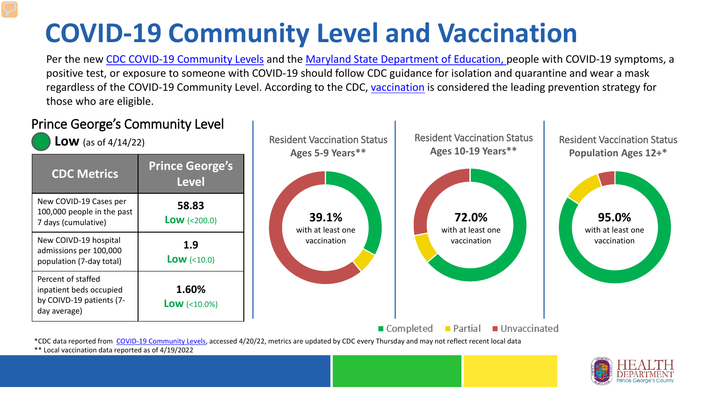# **COVID-19 Community Level and Vaccination**

Per the new [CDC COVID-19 Community Levels](https://www.cdc.gov/coronavirus/2019-ncov/science/community-levels.html#anchor_82254) and the [Maryland State Department of Education, p](https://earlychildhood.marylandpublicschools.org/system/files/filedepot/3/covid_guidance_full_080420.pdf)eople with COVID-19 symptoms, a positive test, or exposure to someone with COVID-19 should follow CDC guidance for isolation and quarantine and wear a mask regardless of the COVID-19 Community Level. According to the CDC, [vaccination](https://www.cdc.gov/coronavirus/2019-ncov/prevent-getting-sick/prevention.html) is considered the leading prevention strategy for those who are eligible.



\*\* Local vaccination data reported as of 4/19/2022

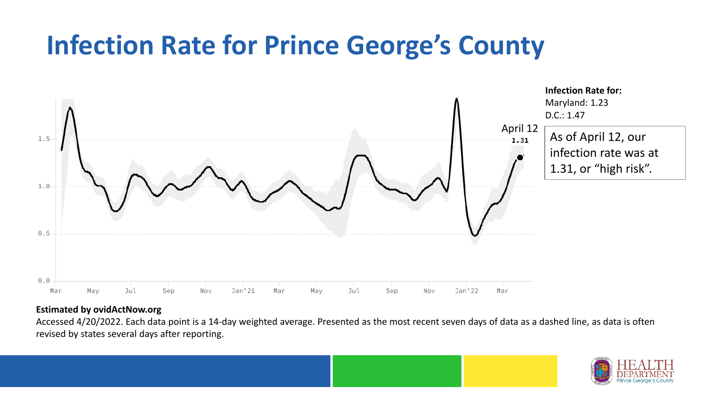## **Infection Rate for Prince George's County**



#### **Estimated by ovidActNow.org**

Accessed 4/20/2022. Each data point is a 14-day weighted average. Presented as the most recent seven days of data as a dashed line, as data is often revised by states several days after reporting.

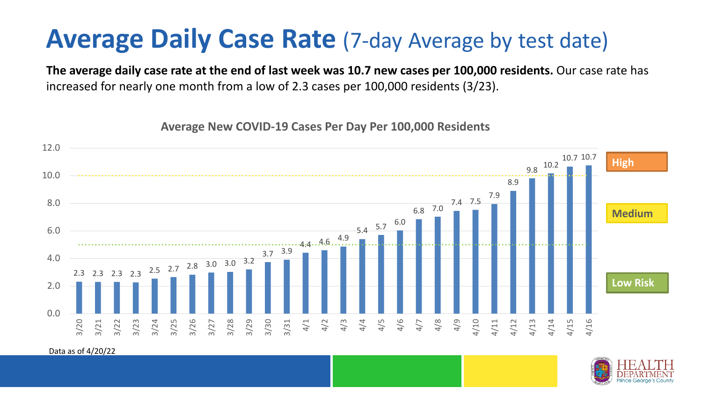### **Average Daily Case Rate** (7-day Average by test date)

**The average daily case rate at the end of last week was 10.7 new cases per 100,000 residents.** Our case rate has increased for nearly one month from a low of 2.3 cases per 100,000 residents (3/23).

**Average New COVID-19 Cases Per Day Per 100,000 Residents**